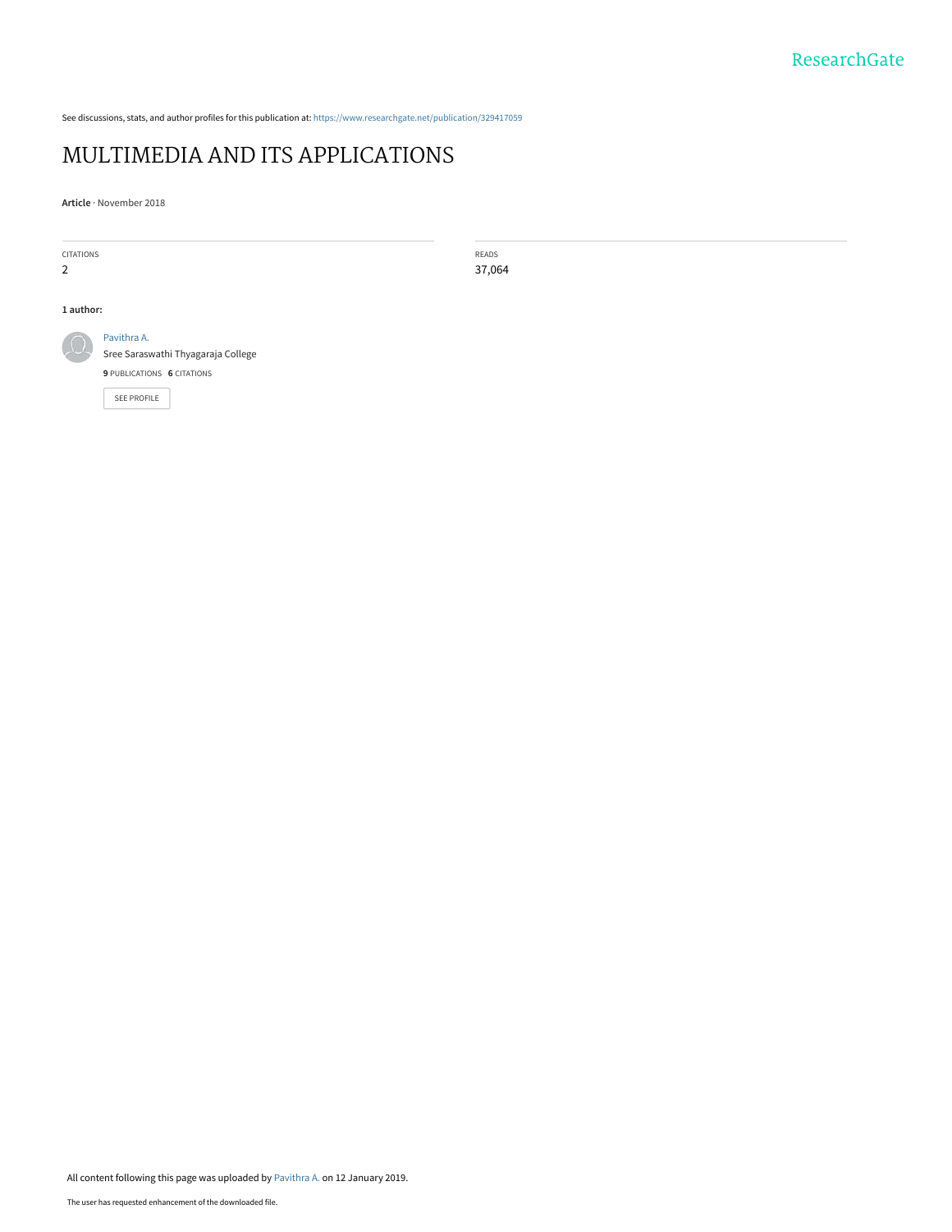See discussions, stats, and author profiles for this publication at: [https://www.researchgate.net/publication/329417059](https://www.researchgate.net/publication/329417059_MULTIMEDIA_AND_ITS_APPLICATIONS?enrichId=rgreq-6e3c35675bb779b91cb5d51dd0a4e769-XXX&enrichSource=Y292ZXJQYWdlOzMyOTQxNzA1OTtBUzo3MTQyMTIyMjE0MTEzMzBAMTU0NzI5Mjg3MTIwOQ%3D%3D&el=1_x_2&_esc=publicationCoverPdf)

# [MULTIMEDIA AND ITS APPLICATIONS](https://www.researchgate.net/publication/329417059_MULTIMEDIA_AND_ITS_APPLICATIONS?enrichId=rgreq-6e3c35675bb779b91cb5d51dd0a4e769-XXX&enrichSource=Y292ZXJQYWdlOzMyOTQxNzA1OTtBUzo3MTQyMTIyMjE0MTEzMzBAMTU0NzI5Mjg3MTIwOQ%3D%3D&el=1_x_3&_esc=publicationCoverPdf)

**Article** · November 2018

| <b>CITATIONS</b> |                                    | READS  |  |
|------------------|------------------------------------|--------|--|
| 2                |                                    | 37,064 |  |
|                  |                                    |        |  |
| 1 author:        |                                    |        |  |
|                  | Pavithra A.                        |        |  |
|                  | Sree Saraswathi Thyagaraja College |        |  |
|                  | 9 PUBLICATIONS 6 CITATIONS         |        |  |
|                  | SEE PROFILE                        |        |  |
|                  |                                    |        |  |
|                  |                                    |        |  |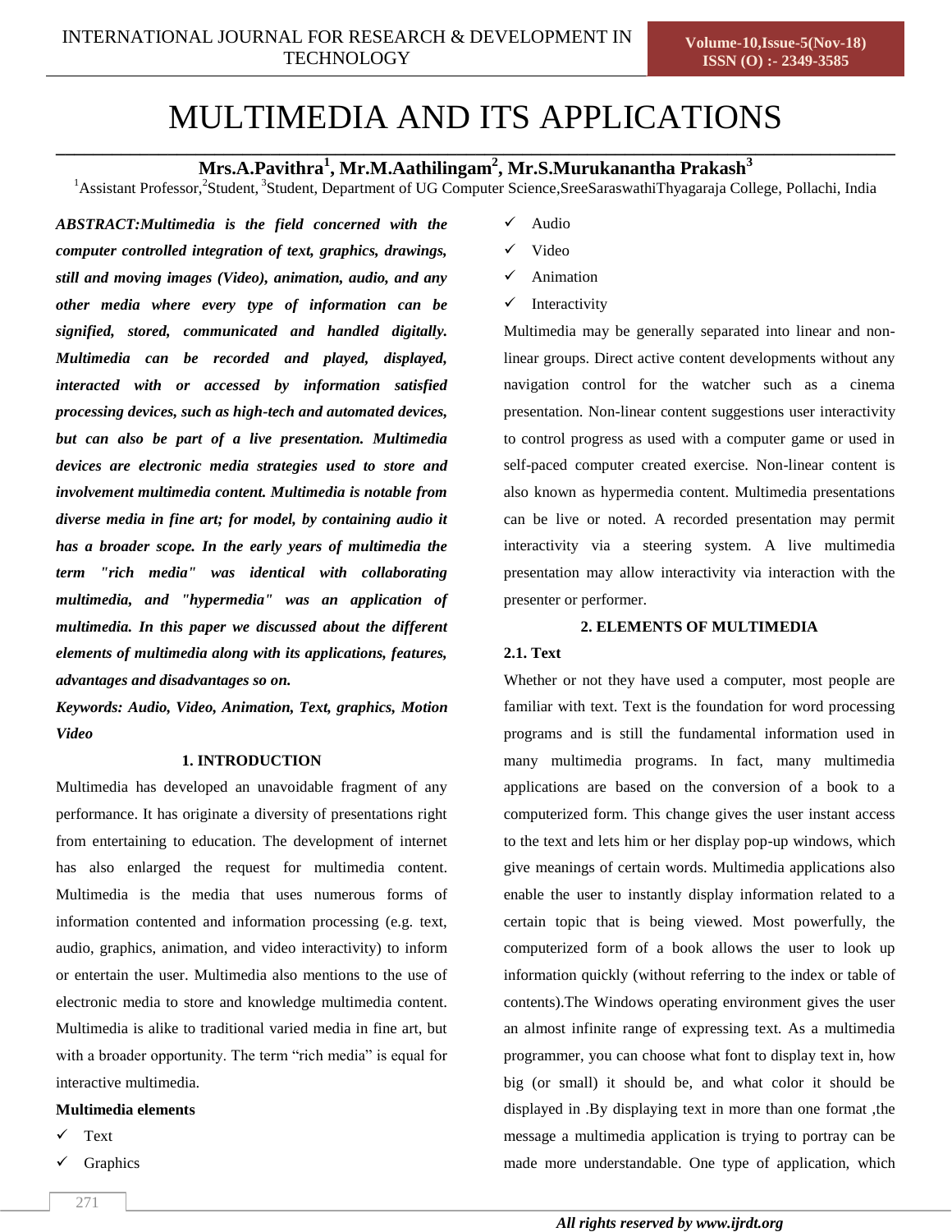# MULTIMEDIA AND ITS APPLICATIONS

**\_\_\_\_\_\_\_\_\_\_\_\_\_\_\_\_\_\_\_\_\_\_\_\_\_\_\_\_\_\_\_\_\_\_\_\_\_\_\_\_\_\_\_\_\_\_\_\_\_\_\_\_\_\_\_\_\_\_\_\_\_\_\_\_\_\_\_\_\_\_\_\_\_\_\_\_\_\_\_\_\_\_\_\_\_\_\_\_\_\_ Mrs.A.Pavithra<sup>1</sup> , Mr.M.Aathilingam<sup>2</sup> , Mr.S.Murukanantha Prakash<sup>3</sup>**

<sup>1</sup>Assistant Professor,<sup>2</sup>Student,<sup>3</sup>Student, Department of UG Computer Science,SreeSaraswathiThyagaraja College, Pollachi, India

*ABSTRACT:Multimedia is the field concerned with the computer controlled integration of text, graphics, drawings, still and moving images (Video), animation, audio, and any other media where every type of information can be signified, stored, communicated and handled digitally. Multimedia can be recorded and played, displayed, interacted with or accessed by information satisfied processing devices, such as high-tech and automated devices, but can also be part of a live presentation. Multimedia devices are electronic media strategies used to store and involvement multimedia content. Multimedia is notable from diverse media in fine art; for model, by containing audio it has a broader scope. In the early years of multimedia the term "rich media" was identical with collaborating multimedia, and "hypermedia" was an application of multimedia. In this paper we discussed about the different elements of multimedia along with its applications, features, advantages and disadvantages so on.*

*Keywords: Audio, Video, Animation, Text, graphics, Motion Video*

### **1. INTRODUCTION**

Multimedia has developed an unavoidable fragment of any performance. It has originate a diversity of presentations right from entertaining to education. The development of internet has also enlarged the request for multimedia content. Multimedia is the media that uses numerous forms of information contented and information processing (e.g. text, audio, graphics, animation, and video interactivity) to inform or entertain the user. Multimedia also mentions to the use of electronic media to store and knowledge multimedia content. Multimedia is alike to traditional varied media in fine art, but with a broader opportunity. The term "rich media" is equal for interactive multimedia.

# **Multimedia elements**

- Text
- Graphics
- Audio
- Video
- Animation
- Interactivity

Multimedia may be generally separated into linear and nonlinear groups. Direct active content developments without any navigation control for the watcher such as a cinema presentation. Non-linear content suggestions user interactivity to control progress as used with a computer game or used in self-paced computer created exercise. Non-linear content is also known as hypermedia content. Multimedia presentations can be live or noted. A recorded presentation may permit interactivity via a steering system. A live multimedia presentation may allow interactivity via interaction with the presenter or performer.

# **2. ELEMENTS OF MULTIMEDIA**

### **2.1. Text**

Whether or not they have used a computer, most people are familiar with text. Text is the foundation for word processing programs and is still the fundamental information used in many multimedia programs. In fact, many multimedia applications are based on the conversion of a book to a computerized form. This change gives the user instant access to the text and lets him or her display pop-up windows, which give meanings of certain words. Multimedia applications also enable the user to instantly display information related to a certain topic that is being viewed. Most powerfully, the computerized form of a book allows the user to look up information quickly (without referring to the index or table of contents).The Windows operating environment gives the user an almost infinite range of expressing text. As a multimedia programmer, you can choose what font to display text in, how big (or small) it should be, and what color it should be displayed in .By displaying text in more than one format ,the message a multimedia application is trying to portray can be made more understandable. One type of application, which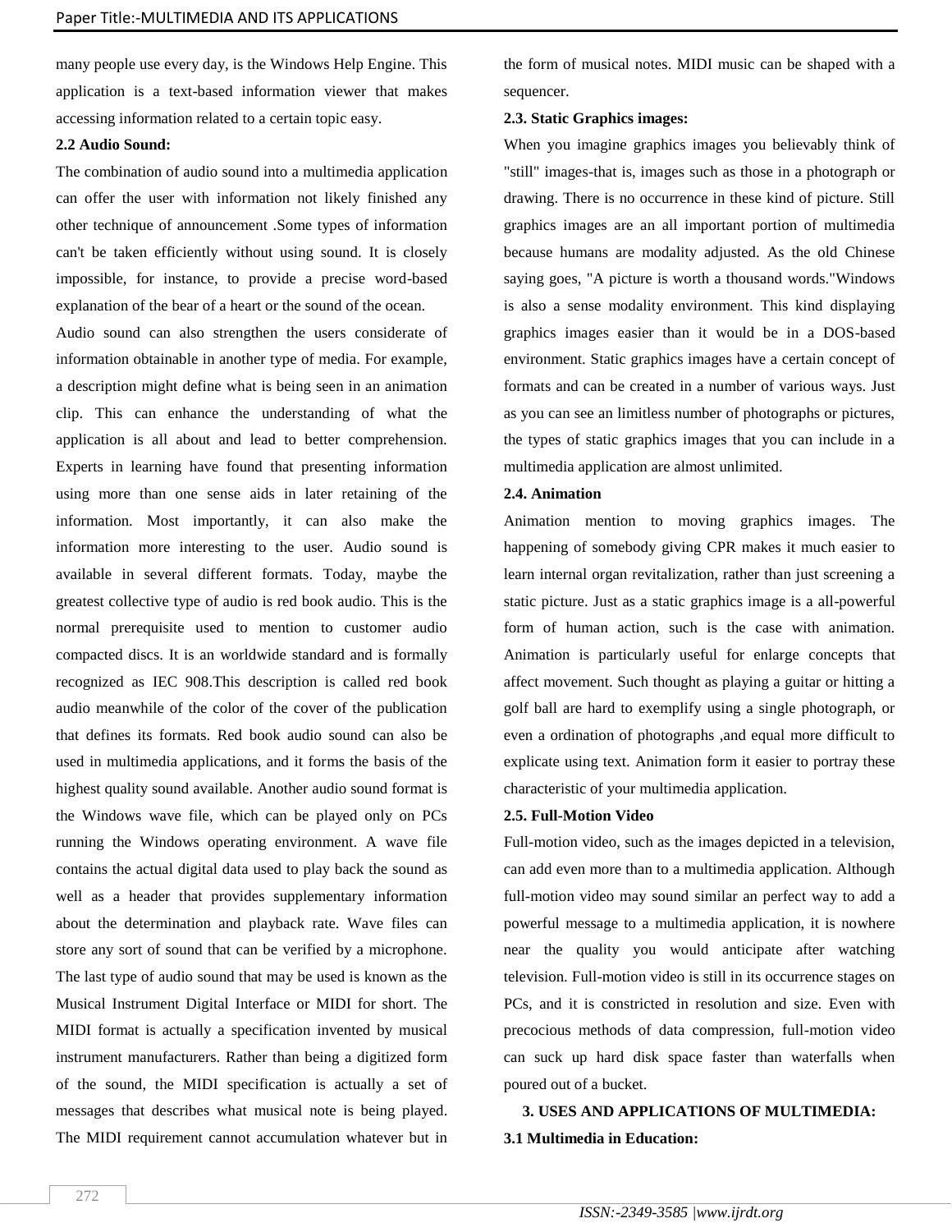many people use every day, is the Windows Help Engine. This application is a text-based information viewer that makes accessing information related to a certain topic easy.

# **2.2 Audio Sound:**

The combination of audio sound into a multimedia application can offer the user with information not likely finished any other technique of announcement .Some types of information can't be taken efficiently without using sound. It is closely impossible, for instance, to provide a precise word-based explanation of the bear of a heart or the sound of the ocean. Audio sound can also strengthen the users considerate of information obtainable in another type of media. For example, a description might define what is being seen in an animation clip. This can enhance the understanding of what the application is all about and lead to better comprehension. Experts in learning have found that presenting information using more than one sense aids in later retaining of the information. Most importantly, it can also make the information more interesting to the user. Audio sound is available in several different formats. Today, maybe the greatest collective type of audio is red book audio. This is the normal prerequisite used to mention to customer audio compacted discs. It is an worldwide standard and is formally recognized as IEC 908.This description is called red book audio meanwhile of the color of the cover of the publication that defines its formats. Red book audio sound can also be used in multimedia applications, and it forms the basis of the highest quality sound available. Another audio sound format is the Windows wave file, which can be played only on PCs running the Windows operating environment. A wave file contains the actual digital data used to play back the sound as well as a header that provides supplementary information about the determination and playback rate. Wave files can store any sort of sound that can be verified by a microphone. The last type of audio sound that may be used is known as the Musical Instrument Digital Interface or MIDI for short. The MIDI format is actually a specification invented by musical instrument manufacturers. Rather than being a digitized form of the sound, the MIDI specification is actually a set of messages that describes what musical note is being played. The MIDI requirement cannot accumulation whatever but in the form of musical notes. MIDI music can be shaped with a sequencer.

# **2.3. Static Graphics images:**

When you imagine graphics images you believably think of "still" images-that is, images such as those in a photograph or drawing. There is no occurrence in these kind of picture. Still graphics images are an all important portion of multimedia because humans are modality adjusted. As the old Chinese saying goes, "A picture is worth a thousand words."Windows is also a sense modality environment. This kind displaying graphics images easier than it would be in a DOS-based environment. Static graphics images have a certain concept of formats and can be created in a number of various ways. Just as you can see an limitless number of photographs or pictures, the types of static graphics images that you can include in a multimedia application are almost unlimited.

# **2.4. Animation**

Animation mention to moving graphics images. The happening of somebody giving CPR makes it much easier to learn internal organ revitalization, rather than just screening a static picture. Just as a static graphics image is a all-powerful form of human action, such is the case with animation. Animation is particularly useful for enlarge concepts that affect movement. Such thought as playing a guitar or hitting a golf ball are hard to exemplify using a single photograph, or even a ordination of photographs ,and equal more difficult to explicate using text. Animation form it easier to portray these characteristic of your multimedia application.

# **2.5. Full-Motion Video**

Full-motion video, such as the images depicted in a television, can add even more than to a multimedia application. Although full-motion video may sound similar an perfect way to add a powerful message to a multimedia application, it is nowhere near the quality you would anticipate after watching television. Full-motion video is still in its occurrence stages on PCs, and it is constricted in resolution and size. Even with precocious methods of data compression, full-motion video can suck up hard disk space faster than waterfalls when poured out of a bucket.

**3. USES AND APPLICATIONS OF MULTIMEDIA: 3.1 Multimedia in Education:**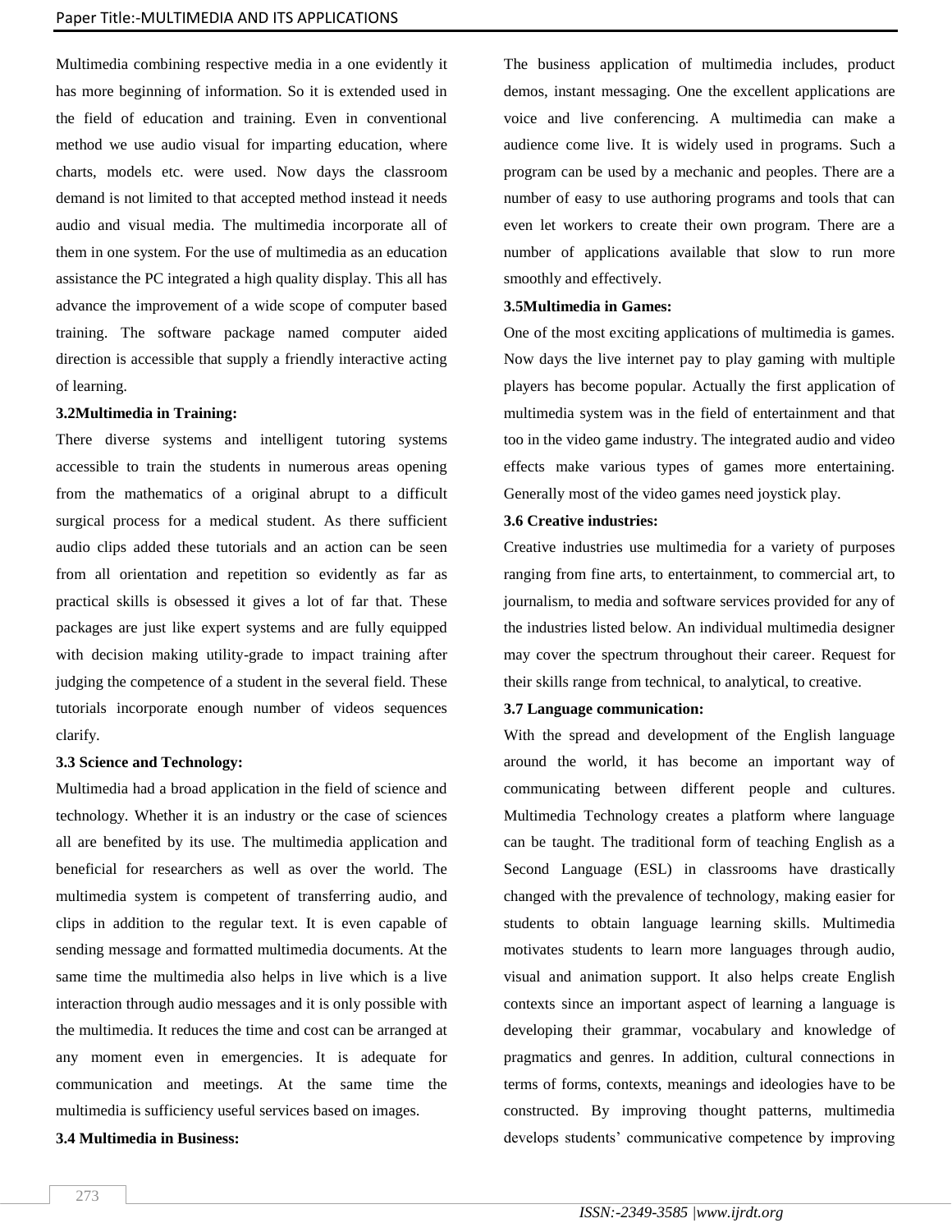Multimedia combining respective media in a one evidently it has more beginning of information. So it is extended used in the field of education and training. Even in conventional method we use audio visual for imparting education, where charts, models etc. were used. Now days the classroom demand is not limited to that accepted method instead it needs audio and visual media. The multimedia incorporate all of them in one system. For the use of multimedia as an education assistance the PC integrated a high quality display. This all has advance the improvement of a wide scope of computer based training. The software package named computer aided direction is accessible that supply a friendly interactive acting of learning.

### **3.2Multimedia in Training:**

There diverse systems and intelligent tutoring systems accessible to train the students in numerous areas opening from the mathematics of a original abrupt to a difficult surgical process for a medical student. As there sufficient audio clips added these tutorials and an action can be seen from all orientation and repetition so evidently as far as practical skills is obsessed it gives a lot of far that. These packages are just like expert systems and are fully equipped with decision making utility-grade to impact training after judging the competence of a student in the several field. These tutorials incorporate enough number of videos sequences clarify.

### **3.3 Science and Technology:**

Multimedia had a broad application in the field of science and technology. Whether it is an industry or the case of sciences all are benefited by its use. The multimedia application and beneficial for researchers as well as over the world. The multimedia system is competent of transferring audio, and clips in addition to the regular text. It is even capable of sending message and formatted multimedia documents. At the same time the multimedia also helps in live which is a live interaction through audio messages and it is only possible with the multimedia. It reduces the time and cost can be arranged at any moment even in emergencies. It is adequate for communication and meetings. At the same time the multimedia is sufficiency useful services based on images.

# **3.4 Multimedia in Business:**

The business application of multimedia includes, product demos, instant messaging. One the excellent applications are voice and live conferencing. A multimedia can make a audience come live. It is widely used in programs. Such a program can be used by a mechanic and peoples. There are a number of easy to use authoring programs and tools that can even let workers to create their own program. There are a number of applications available that slow to run more smoothly and effectively.

# **3.5Multimedia in Games:**

One of the most exciting applications of multimedia is games. Now days the live internet pay to play gaming with multiple players has become popular. Actually the first application of multimedia system was in the field of entertainment and that too in the video game industry. The integrated audio and video effects make various types of games more entertaining. Generally most of the video games need joystick play.

### **3.6 Creative industries:**

Creative industries use multimedia for a variety of purposes ranging from fine arts, to entertainment, to commercial art, to journalism, to media and software services provided for any of the industries listed below. An individual multimedia designer may cover the spectrum throughout their career. Request for their skills range from technical, to analytical, to creative.

### **3.7 Language communication:**

With the spread and development of the English language around the world, it has become an important way of communicating between different people and cultures. Multimedia Technology creates a platform where language can be taught. The traditional form of teaching English as a Second Language (ESL) in classrooms have drastically changed with the prevalence of technology, making easier for students to obtain language learning skills. Multimedia motivates students to learn more languages through audio, visual and animation support. It also helps create English contexts since an important aspect of learning a language is developing their grammar, vocabulary and knowledge of pragmatics and genres. In addition, cultural connections in terms of forms, contexts, meanings and ideologies have to be constructed. By improving thought patterns, multimedia develops students' communicative competence by improving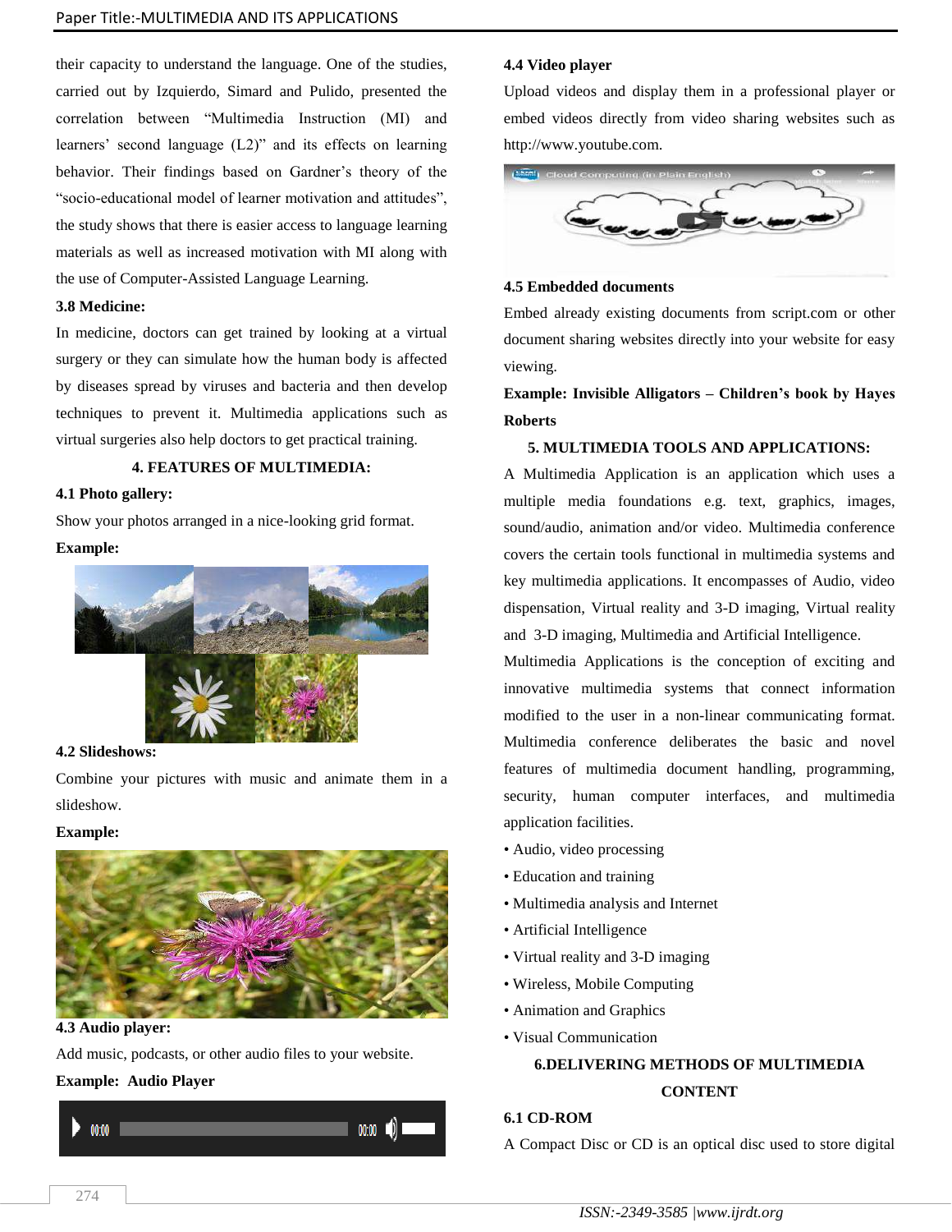their capacity to understand the language. One of the studies, carried out by Izquierdo, Simard and Pulido, presented the correlation between "Multimedia Instruction (MI) and learners' second language (L2)" and its effects on learning behavior. Their findings based on Gardner's theory of the "socio-educational model of learner motivation and attitudes", the study shows that there is easier access to language learning materials as well as increased motivation with MI along with the use of Computer-Assisted Language Learning.

# **3.8 Medicine:**

In medicine, doctors can get trained by looking at a virtual surgery or they can simulate how the human body is affected by diseases spread by viruses and bacteria and then develop techniques to prevent it. Multimedia applications such as virtual surgeries also help doctors to get practical training.

# **4. FEATURES OF MULTIMEDIA:**

### **4.1 Photo gallery:**

Show your photos arranged in a nice-looking grid format. **Example:**



# **4.2 Slideshows:**

Combine your pictures with music and animate them in a slideshow.

# **Example:**



**4.3 Audio player:**

Add music, podcasts, or other audio files to your website.

# **Example: Audio Player**



### **4.4 Video player**

Upload videos and display them in a professional player or embed videos directly from video sharing websites such as [http://www.youtube.com.](http://www.youtube.com/)



#### **4.5 Embedded documents**

Embed already existing documents from script.com or other document sharing websites directly into your website for easy viewing.

**Example: Invisible Alligators – Children's book by Hayes Roberts**

# **5. MULTIMEDIA TOOLS AND APPLICATIONS:**

A Multimedia Application is an application which uses a multiple media foundations e.g. text, graphics, images, sound/audio, animation and/or video. Multimedia conference covers the certain tools functional in multimedia systems and key multimedia applications. It encompasses of Audio, video dispensation, Virtual reality and 3-D imaging, Virtual reality and 3-D imaging, Multimedia and Artificial Intelligence.

Multimedia Applications is the conception of exciting and innovative multimedia systems that connect information modified to the user in a non-linear communicating format. Multimedia conference deliberates the basic and novel features of multimedia document handling, programming, security, human computer interfaces, and multimedia application facilities.

- Audio, video processing
- Education and training
- Multimedia analysis and Internet
- Artificial Intelligence
- Virtual reality and 3-D imaging
- Wireless, Mobile Computing
- Animation and Graphics
- Visual Communication

# **6.DELIVERING METHODS OF MULTIMEDIA CONTENT**

### **6.1 CD-ROM**

A Compact Disc or CD is an optical disc used to store digital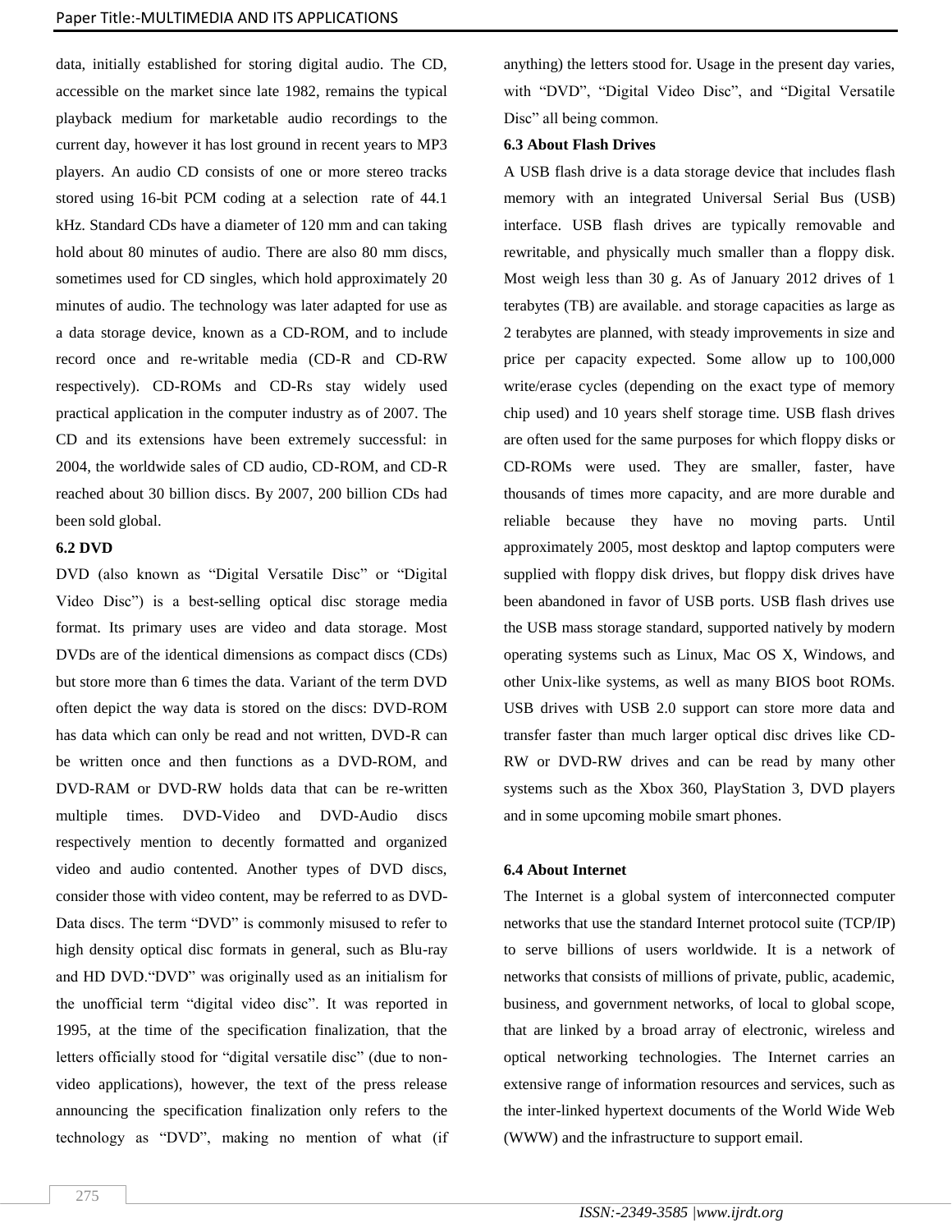data, initially established for storing digital audio. The CD, accessible on the market since late 1982, remains the typical playback medium for marketable audio recordings to the current day, however it has lost ground in recent years to MP3 players. An audio CD consists of one or more stereo tracks stored using 16-bit PCM coding at a selection rate of 44.1 kHz. Standard CDs have a diameter of 120 mm and can taking hold about 80 minutes of audio. There are also 80 mm discs, sometimes used for CD singles, which hold approximately 20 minutes of audio. The technology was later adapted for use as a data storage device, known as a CD-ROM, and to include record once and re-writable media (CD-R and CD-RW respectively). CD-ROMs and CD-Rs stay widely used practical application in the computer industry as of 2007. The CD and its extensions have been extremely successful: in 2004, the worldwide sales of CD audio, CD-ROM, and CD-R reached about 30 billion discs. By 2007, 200 billion CDs had been sold global.

# **6.2 DVD**

DVD (also known as "Digital Versatile Disc" or "Digital Video Disc") is a best-selling optical disc storage media format. Its primary uses are video and data storage. Most DVDs are of the identical dimensions as compact discs (CDs) but store more than 6 times the data. Variant of the term DVD often depict the way data is stored on the discs: DVD-ROM has data which can only be read and not written, DVD-R can be written once and then functions as a DVD-ROM, and DVD-RAM or DVD-RW holds data that can be re-written multiple times. DVD-Video and DVD-Audio discs respectively mention to decently formatted and organized video and audio contented. Another types of DVD discs, consider those with video content, may be referred to as DVD-Data discs. The term "DVD" is commonly misused to refer to high density optical disc formats in general, such as Blu-ray and HD DVD."DVD" was originally used as an initialism for the unofficial term "digital video disc". It was reported in 1995, at the time of the specification finalization, that the letters officially stood for "digital versatile disc" (due to nonvideo applications), however, the text of the press release announcing the specification finalization only refers to the technology as "DVD", making no mention of what (if anything) the letters stood for. Usage in the present day varies, with "DVD", "Digital Video Disc", and "Digital Versatile Disc" all being common.

### **6.3 About Flash Drives**

A USB flash drive is a data storage device that includes flash memory with an integrated Universal Serial Bus (USB) interface. USB flash drives are typically removable and rewritable, and physically much smaller than a floppy disk. Most weigh less than 30 g. As of January 2012 drives of 1 terabytes (TB) are available. and storage capacities as large as 2 terabytes are planned, with steady improvements in size and price per capacity expected. Some allow up to 100,000 write/erase cycles (depending on the exact type of memory chip used) and 10 years shelf storage time. USB flash drives are often used for the same purposes for which floppy disks or CD-ROMs were used. They are smaller, faster, have thousands of times more capacity, and are more durable and reliable because they have no moving parts. Until approximately 2005, most desktop and laptop computers were supplied with floppy disk drives, but floppy disk drives have been abandoned in favor of USB ports. USB flash drives use the USB mass storage standard, supported natively by modern operating systems such as Linux, Mac OS X, Windows, and other Unix-like systems, as well as many BIOS boot ROMs. USB drives with USB 2.0 support can store more data and transfer faster than much larger optical disc drives like CD-RW or DVD-RW drives and can be read by many other systems such as the Xbox 360, PlayStation 3, DVD players and in some upcoming mobile smart phones.

### **6.4 About Internet**

The Internet is a global system of interconnected computer networks that use the standard Internet protocol suite (TCP/IP) to serve billions of users worldwide. It is a network of networks that consists of millions of private, public, academic, business, and government networks, of local to global scope, that are linked by a broad array of electronic, wireless and optical networking technologies. The Internet carries an extensive range of information resources and services, such as the inter-linked hypertext documents of the World Wide Web (WWW) and the infrastructure to support email.